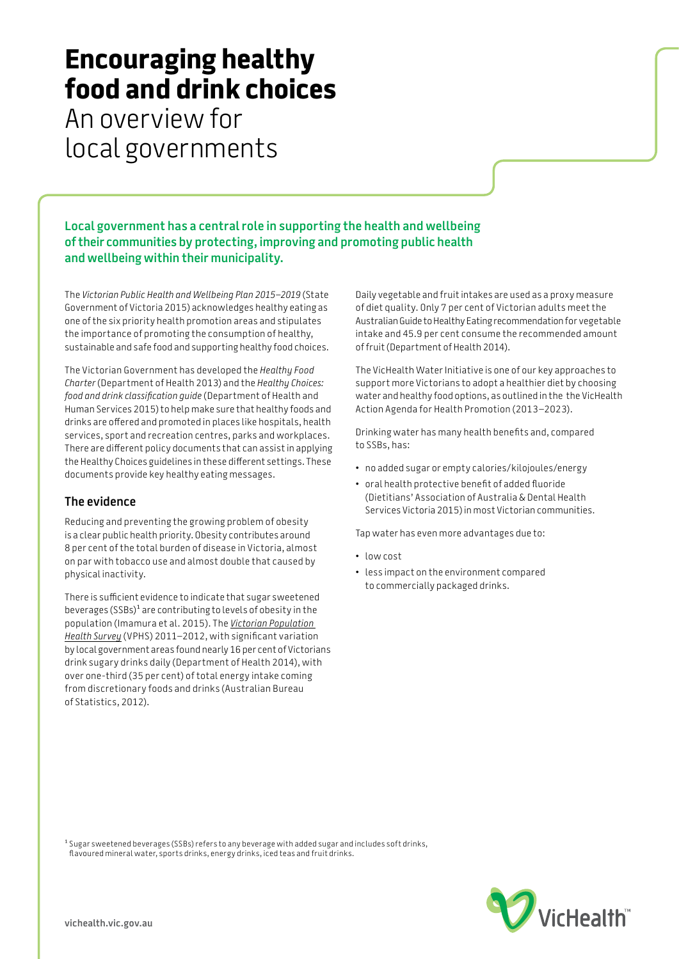## **Encouraging healthy food and drink choices**

An overview for local governments

**Local government has a central role in supporting the health and wellbeing of their communities by protecting, improving and promoting public health and wellbeing within their municipality.** 

The *Victorian Public Health and Wellbeing Plan 2015–2019* (State Government of Victoria 2015) acknowledges healthy eating as one of the six priority health promotion areas and stipulates the importance of promoting the consumption of healthy, sustainable and safe food and supporting healthy food choices.

The Victorian Government has developed the *Healthy Food Charter* (Department of Health 2013) and the *Healthy Choices: food and drink classification guide* (Department of Health and Human Services 2015) to help make sure that healthy foods and drinks are offered and promoted in places like hospitals, health services, sport and recreation centres, parks and workplaces. There are different policy documents that can assist in applying the Healthy Choices guidelines in these different settings. These documents provide key healthy eating messages.

## **The evidence**

Reducing and preventing the growing problem of obesity is a clear public health priority. Obesity contributes around 8 per cent of the total burden of disease in Victoria, almost on par with tobacco use and almost double that caused by physical inactivity.

There is sufficient evidence to indicate that sugar sweetened beverages (SSBs)<sup>1</sup> are contributing to levels of obesity in the population (Imamura et al. 2015). The *[Victorian Population](https://www2.health.vic.gov.au/getfile/?sc_itemid=%7B604DCF4F-A8B2-41B3-ABFF-CAECF30C2B3F%7D)  [Health Survey](https://www2.health.vic.gov.au/getfile/?sc_itemid=%7B604DCF4F-A8B2-41B3-ABFF-CAECF30C2B3F%7D)* (VPHS) 2011–2012, with significant variation by local government areas found nearly 16 per cent of Victorians drink sugary drinks daily (Department of Health 2014), with over one-third (35 per cent) of total energy intake coming from discretionary foods and drinks (Australian Bureau of Statistics, 2012).

Daily vegetable and fruit intakes are used as a proxy measure of diet quality. Only 7 per cent of Victorian adults meet the Australian Guide to Healthy Eating recommendation for vegetable intake and 45.9 per cent consume the recommended amount of fruit (Department of Health 2014).

The VicHealth Water Initiative is one of our key approaches to support more Victorians to adopt a healthier diet by choosing water and healthy food options, as outlined in the the VicHealth Action Agenda for Health Promotion (2013–2023).

Drinking water has many health benefits and, compared to SSBs, has:

- no added sugar or empty calories/kilojoules/energy
- oral health protective benefit of added fluoride (Dietitians' Association of Australia & Dental Health Services Victoria 2015) in most Victorian communities.

Tap water has even more advantages due to:

- low cost
- less impact on the environment compared to commercially packaged drinks.

<sup>1</sup> Sugar sweetened beverages (SSBs) refers to any beverage with added sugar and includes soft drinks, flavoured mineral water, sports drinks, energy drinks, iced teas and fruit drinks.